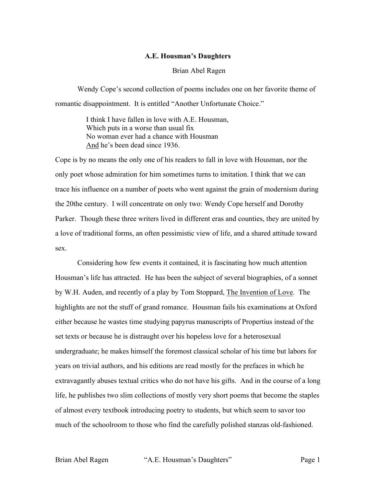## **A.E. Housman's Daughters**

## Brian Abel Ragen

Wendy Cope's second collection of poems includes one on her favorite theme of romantic disappointment. It is entitled "Another Unfortunate Choice."

> I think I have fallen in love with A.E. Housman, Which puts in a worse than usual fix No woman ever had a chance with Housman And he's been dead since 1936.

Cope is by no means the only one of his readers to fall in love with Housman, nor the only poet whose admiration for him sometimes turns to imitation. I think that we can trace his influence on a number of poets who went against the grain of modernism during the 20the century. I will concentrate on only two: Wendy Cope herself and Dorothy Parker. Though these three writers lived in different eras and counties, they are united by a love of traditional forms, an often pessimistic view of life, and a shared attitude toward sex.

Considering how few events it contained, it is fascinating how much attention Housman's life has attracted. He has been the subject of several biographies, of a sonnet by W.H. Auden, and recently of a play by Tom Stoppard, The Invention of Love. The highlights are not the stuff of grand romance. Housman fails his examinations at Oxford either because he wastes time studying papyrus manuscripts of Propertius instead of the set texts or because he is distraught over his hopeless love for a heterosexual undergraduate; he makes himself the foremost classical scholar of his time but labors for years on trivial authors, and his editions are read mostly for the prefaces in which he extravagantly abuses textual critics who do not have his gifts. And in the course of a long life, he publishes two slim collections of mostly very short poems that become the staples of almost every textbook introducing poetry to students, but which seem to savor too much of the schoolroom to those who find the carefully polished stanzas old-fashioned.

Brian Abel Ragen "A.E. Housman's Daughters" Page 1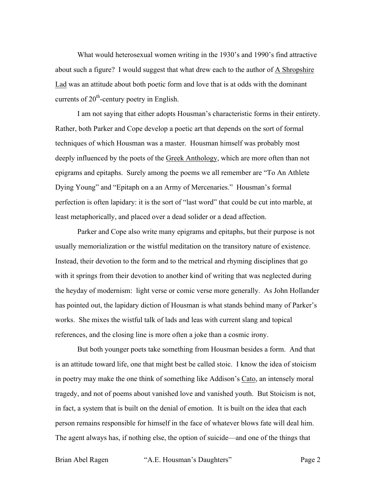What would heterosexual women writing in the 1930's and 1990's find attractive about such a figure? I would suggest that what drew each to the author of A Shropshire Lad was an attitude about both poetic form and love that is at odds with the dominant currents of  $20<sup>th</sup>$ -century poetry in English.

I am not saying that either adopts Housman's characteristic forms in their entirety. Rather, both Parker and Cope develop a poetic art that depends on the sort of formal techniques of which Housman was a master. Housman himself was probably most deeply influenced by the poets of the Greek Anthology, which are more often than not epigrams and epitaphs. Surely among the poems we all remember are "To An Athlete Dying Young" and "Epitaph on a an Army of Mercenaries." Housman's formal perfection is often lapidary: it is the sort of "last word" that could be cut into marble, at least metaphorically, and placed over a dead solider or a dead affection.

Parker and Cope also write many epigrams and epitaphs, but their purpose is not usually memorialization or the wistful meditation on the transitory nature of existence. Instead, their devotion to the form and to the metrical and rhyming disciplines that go with it springs from their devotion to another kind of writing that was neglected during the heyday of modernism: light verse or comic verse more generally. As John Hollander has pointed out, the lapidary diction of Housman is what stands behind many of Parker's works. She mixes the wistful talk of lads and leas with current slang and topical references, and the closing line is more often a joke than a cosmic irony.

But both younger poets take something from Housman besides a form. And that is an attitude toward life, one that might best be called stoic. I know the idea of stoicism in poetry may make the one think of something like Addison's Cato, an intensely moral tragedy, and not of poems about vanished love and vanished youth. But Stoicism is not, in fact, a system that is built on the denial of emotion. It is built on the idea that each person remains responsible for himself in the face of whatever blows fate will deal him. The agent always has, if nothing else, the option of suicide—and one of the things that

Brian Abel Ragen "A.E. Housman's Daughters" Page 2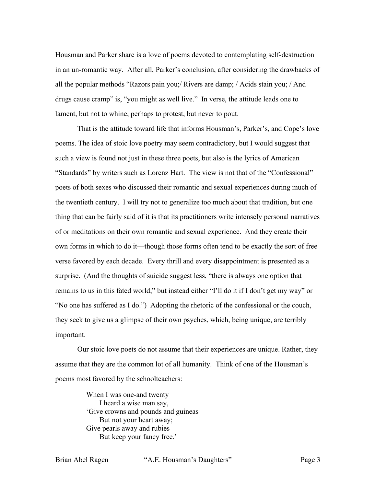Housman and Parker share is a love of poems devoted to contemplating self-destruction in an un-romantic way. After all, Parker's conclusion, after considering the drawbacks of all the popular methods "Razors pain you;/ Rivers are damp; / Acids stain you; / And drugs cause cramp" is, "you might as well live." In verse, the attitude leads one to lament, but not to whine, perhaps to protest, but never to pout.

That is the attitude toward life that informs Housman's, Parker's, and Cope's love poems. The idea of stoic love poetry may seem contradictory, but I would suggest that such a view is found not just in these three poets, but also is the lyrics of American "Standards" by writers such as Lorenz Hart. The view is not that of the "Confessional" poets of both sexes who discussed their romantic and sexual experiences during much of the twentieth century. I will try not to generalize too much about that tradition, but one thing that can be fairly said of it is that its practitioners write intensely personal narratives of or meditations on their own romantic and sexual experience. And they create their own forms in which to do it—though those forms often tend to be exactly the sort of free verse favored by each decade. Every thrill and every disappointment is presented as a surprise. (And the thoughts of suicide suggest less, "there is always one option that remains to us in this fated world," but instead either "I'll do it if I don't get my way" or "No one has suffered as I do.") Adopting the rhetoric of the confessional or the couch, they seek to give us a glimpse of their own psyches, which, being unique, are terribly important.

Our stoic love poets do not assume that their experiences are unique. Rather, they assume that they are the common lot of all humanity. Think of one of the Housman's poems most favored by the schoolteachers:

> When I was one-and twenty I heard a wise man say, 'Give crowns and pounds and guineas But not your heart away; Give pearls away and rubies But keep your fancy free.'

Brian Abel Ragen "A.E. Housman's Daughters" Page 3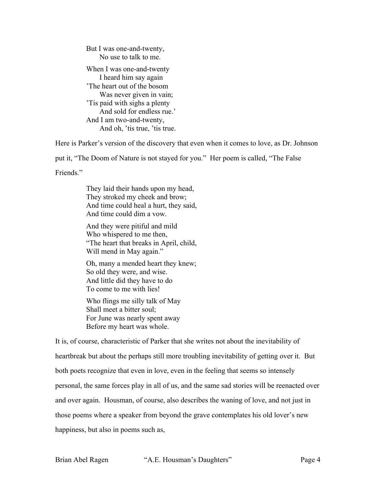But I was one-and-twenty, No use to talk to me. When I was one-and-twenty I heard him say again 'The heart out of the bosom Was never given in vain; 'Tis paid with sighs a plenty And sold for endless rue.' And I am two-and-twenty, And oh, 'tis true, 'tis true.

Here is Parker's version of the discovery that even when it comes to love, as Dr. Johnson

put it, "The Doom of Nature is not stayed for you." Her poem is called, "The False

Friends."

They laid their hands upon my head, They stroked my cheek and brow; And time could heal a hurt, they said, And time could dim a vow.

And they were pitiful and mild Who whispered to me then, "The heart that breaks in April, child, Will mend in May again."

Oh, many a mended heart they knew; So old they were, and wise. And little did they have to do To come to me with lies!

Who flings me silly talk of May Shall meet a bitter soul; For June was nearly spent away Before my heart was whole.

It is, of course, characteristic of Parker that she writes not about the inevitability of heartbreak but about the perhaps still more troubling inevitability of getting over it. But both poets recognize that even in love, even in the feeling that seems so intensely personal, the same forces play in all of us, and the same sad stories will be reenacted over and over again. Housman, of course, also describes the waning of love, and not just in those poems where a speaker from beyond the grave contemplates his old lover's new happiness, but also in poems such as,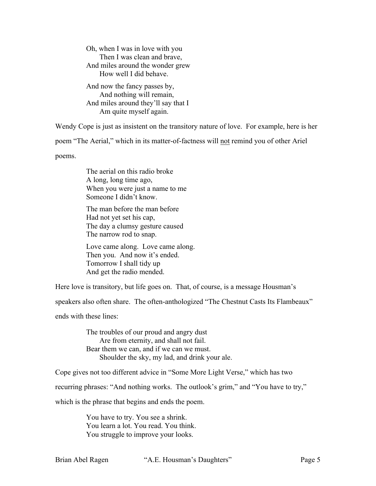Oh, when I was in love with you Then I was clean and brave, And miles around the wonder grew How well I did behave. And now the fancy passes by, And nothing will remain, And miles around they'll say that I Am quite myself again.

Wendy Cope is just as insistent on the transitory nature of love. For example, here is her poem "The Aerial," which in its matter-of-factness will not remind you of other Ariel

poems.

The aerial on this radio broke A long, long time ago, When you were just a name to me Someone I didn't know.

The man before the man before Had not yet set his cap, The day a clumsy gesture caused The narrow rod to snap.

Love came along. Love came along. Then you. And now it's ended. Tomorrow I shall tidy up And get the radio mended.

Here love is transitory, but life goes on. That, of course, is a message Housman's

speakers also often share. The often-anthologized "The Chestnut Casts Its Flambeaux"

ends with these lines:

The troubles of our proud and angry dust Are from eternity, and shall not fail. Bear them we can, and if we can we must. Shoulder the sky, my lad, and drink your ale.

Cope gives not too different advice in "Some More Light Verse," which has two

recurring phrases: "And nothing works. The outlook's grim," and "You have to try,"

which is the phrase that begins and ends the poem.

You have to try. You see a shrink. You learn a lot. You read. You think. You struggle to improve your looks.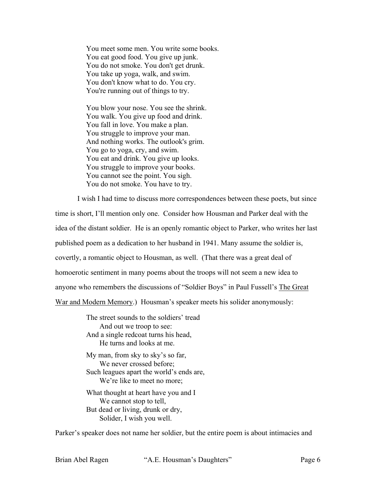You meet some men. You write some books. You eat good food. You give up junk. You do not smoke. You don't get drunk. You take up yoga, walk, and swim. You don't know what to do. You cry. You're running out of things to try.

You blow your nose. You see the shrink. You walk. You give up food and drink. You fall in love. You make a plan. You struggle to improve your man. And nothing works. The outlook's grim. You go to yoga, cry, and swim. You eat and drink. You give up looks. You struggle to improve your books. You cannot see the point. You sigh. You do not smoke. You have to try.

I wish I had time to discuss more correspondences between these poets, but since time is short, I'll mention only one. Consider how Housman and Parker deal with the idea of the distant soldier. He is an openly romantic object to Parker, who writes her last published poem as a dedication to her husband in 1941. Many assume the soldier is, covertly, a romantic object to Housman, as well. (That there was a great deal of homoerotic sentiment in many poems about the troops will not seem a new idea to anyone who remembers the discussions of "Soldier Boys" in Paul Fussell's The Great War and Modern Memory.) Housman's speaker meets his solider anonymously:

> The street sounds to the soldiers' tread And out we troop to see: And a single redcoat turns his head, He turns and looks at me.

My man, from sky to sky's so far, We never crossed before; Such leagues apart the world's ends are, We're like to meet no more;

What thought at heart have you and I We cannot stop to tell, But dead or living, drunk or dry, Solider, I wish you well.

Parker's speaker does not name her soldier, but the entire poem is about intimacies and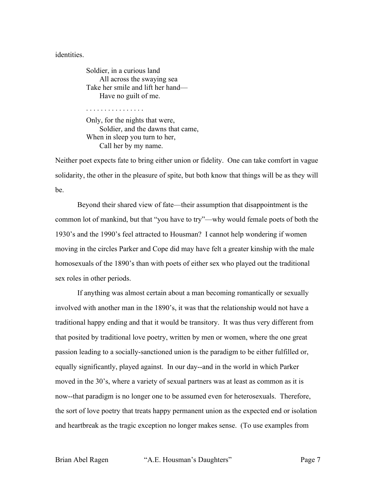## identities.

Soldier, in a curious land All across the swaying sea Take her smile and lift her hand— Have no guilt of me.

. . . . . . . . . . . . . . . .

Only, for the nights that were, Soldier, and the dawns that came, When in sleep you turn to her, Call her by my name.

Neither poet expects fate to bring either union or fidelity. One can take comfort in vague solidarity, the other in the pleasure of spite, but both know that things will be as they will be.

Beyond their shared view of fate—their assumption that disappointment is the common lot of mankind, but that "you have to try"—why would female poets of both the 1930's and the 1990's feel attracted to Housman? I cannot help wondering if women moving in the circles Parker and Cope did may have felt a greater kinship with the male homosexuals of the 1890's than with poets of either sex who played out the traditional sex roles in other periods.

If anything was almost certain about a man becoming romantically or sexually involved with another man in the 1890's, it was that the relationship would not have a traditional happy ending and that it would be transitory. It was thus very different from that posited by traditional love poetry, written by men or women, where the one great passion leading to a socially-sanctioned union is the paradigm to be either fulfilled or, equally significantly, played against. In our day--and in the world in which Parker moved in the 30's, where a variety of sexual partners was at least as common as it is now--that paradigm is no longer one to be assumed even for heterosexuals. Therefore, the sort of love poetry that treats happy permanent union as the expected end or isolation and heartbreak as the tragic exception no longer makes sense. (To use examples from